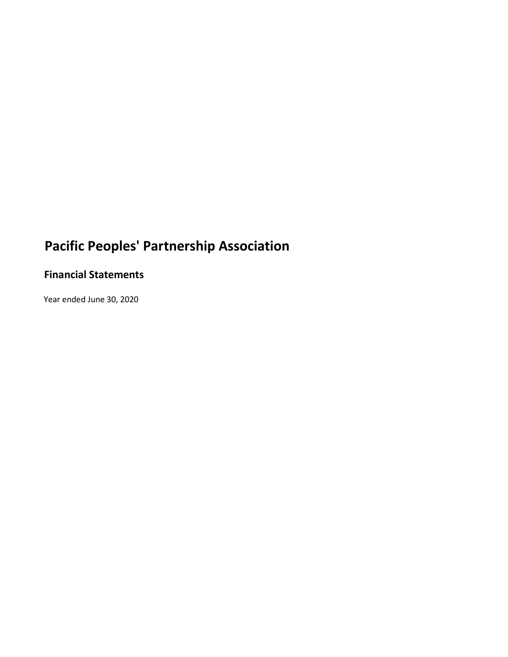## **Financial Statements**

Year ended June 30, 2020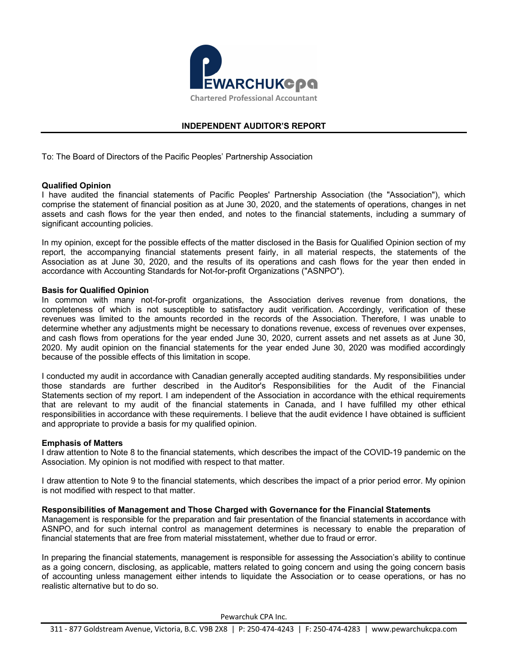

## **INDEPENDENT AUDITOR'S REPORT**

To: The Board of Directors of the Pacific Peoples' Partnership Association

## **Qualified Opinion**

I have audited the financial statements of Pacific Peoples' Partnership Association (the "Association"), which comprise the statement of financial position as at June 30, 2020, and the statements of operations, changes in net assets and cash flows for the year then ended, and notes to the financial statements, including a summary of significant accounting policies.

In my opinion, except for the possible effects of the matter disclosed in the Basis for Qualified Opinion section of my report, the accompanying financial statements present fairly, in all material respects, the statements of the Association as at June 30, 2020, and the results of its operations and cash flows for the year then ended in accordance with Accounting Standards for Not-for-profit Organizations ("ASNPO").

## **Basis for Qualified Opinion**

In common with many not-for-profit organizations, the Association derives revenue from donations, the completeness of which is not susceptible to satisfactory audit verification. Accordingly, verification of these revenues was limited to the amounts recorded in the records of the Association. Therefore, I was unable to determine whether any adjustments might be necessary to donations revenue, excess of revenues over expenses, and cash flows from operations for the year ended June 30, 2020, current assets and net assets as at June 30, 2020. My audit opinion on the financial statements for the year ended June 30, 2020 was modified accordingly because of the possible effects of this limitation in scope.

I conducted my audit in accordance with Canadian generally accepted auditing standards. My responsibilities under those standards are further described in the Auditor's Responsibilities for the Audit of the Financial Statements section of my report. I am independent of the Association in accordance with the ethical requirements that are relevant to my audit of the financial statements in Canada, and I have fulfilled my other ethical responsibilities in accordance with these requirements. I believe that the audit evidence I have obtained is sufficient and appropriate to provide a basis for my qualified opinion.

### **Emphasis of Matters**

I draw attention to Note 8 to the financial statements, which describes the impact of the COVID-19 pandemic on the Association. My opinion is not modified with respect to that matter.

I draw attention to Note 9 to the financial statements, which describes the impact of a prior period error. My opinion is not modified with respect to that matter.

### **Responsibilities of Management and Those Charged with Governance for the Financial Statements**

Management is responsible for the preparation and fair presentation of the financial statements in accordance with ASNPO, and for such internal control as management determines is necessary to enable the preparation of financial statements that are free from material misstatement, whether due to fraud or error.

In preparing the financial statements, management is responsible for assessing the Association's ability to continue as a going concern, disclosing, as applicable, matters related to going concern and using the going concern basis of accounting unless management either intends to liquidate the Association or to cease operations, or has no realistic alternative but to do so.

Pewarchuk CPA Inc.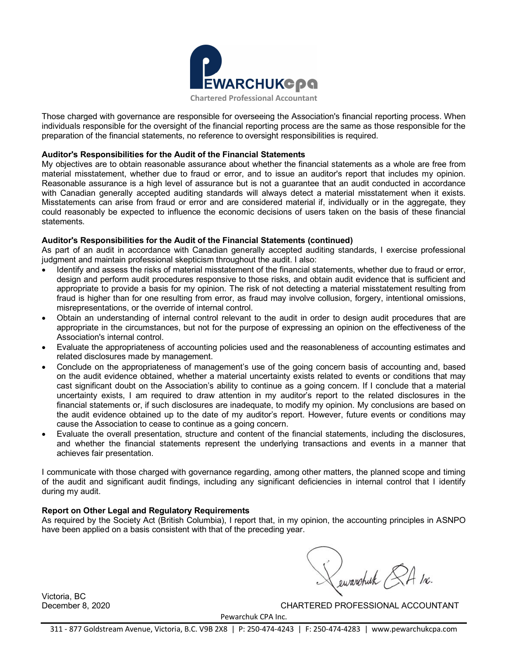

Those charged with governance are responsible for overseeing the Association's financial reporting process. When individuals responsible for the oversight of the financial reporting process are the same as those responsible for the preparation of the financial statements, no reference to oversight responsibilities is required.

### **Auditor's Responsibilities for the Audit of the Financial Statements**

My objectives are to obtain reasonable assurance about whether the financial statements as a whole are free from material misstatement, whether due to fraud or error, and to issue an auditor's report that includes my opinion. Reasonable assurance is a high level of assurance but is not a guarantee that an audit conducted in accordance with Canadian generally accepted auditing standards will always detect a material misstatement when it exists. Misstatements can arise from fraud or error and are considered material if, individually or in the aggregate, they could reasonably be expected to influence the economic decisions of users taken on the basis of these financial statements.

## **Auditor's Responsibilities for the Audit of the Financial Statements (continued)**

As part of an audit in accordance with Canadian generally accepted auditing standards, I exercise professional judgment and maintain professional skepticism throughout the audit. I also:

- Identify and assess the risks of material misstatement of the financial statements, whether due to fraud or error, design and perform audit procedures responsive to those risks, and obtain audit evidence that is sufficient and appropriate to provide a basis for my opinion. The risk of not detecting a material misstatement resulting from fraud is higher than for one resulting from error, as fraud may involve collusion, forgery, intentional omissions, misrepresentations, or the override of internal control.
- · Obtain an understanding of internal control relevant to the audit in order to design audit procedures that are appropriate in the circumstances, but not for the purpose of expressing an opinion on the effectiveness of the Association's internal control.
- · Evaluate the appropriateness of accounting policies used and the reasonableness of accounting estimates and related disclosures made by management.
- Conclude on the appropriateness of management's use of the going concern basis of accounting and, based on the audit evidence obtained, whether a material uncertainty exists related to events or conditions that may cast significant doubt on the Association's ability to continue as a going concern. If I conclude that a material uncertainty exists, I am required to draw attention in my auditor's report to the related disclosures in the financial statements or, if such disclosures are inadequate, to modify my opinion. My conclusions are based on the audit evidence obtained up to the date of my auditor's report. However, future events or conditions may cause the Association to cease to continue as a going concern.
- · Evaluate the overall presentation, structure and content of the financial statements, including the disclosures, and whether the financial statements represent the underlying transactions and events in a manner that achieves fair presentation.

I communicate with those charged with governance regarding, among other matters, the planned scope and timing of the audit and significant audit findings, including any significant deficiencies in internal control that I identify during my audit.

## **Report on Other Legal and Regulatory Requirements**

As required by the Society Act (British Columbia), I report that, in my opinion, the accounting principles in ASNPO have been applied on a basis consistent with that of the preceding year.

Lewarchuck &A Inc.

Victoria, BC

December 8, 2020 CHARTERED PROFESSIONAL ACCOUNTANT

Pewarchuk CPA Inc.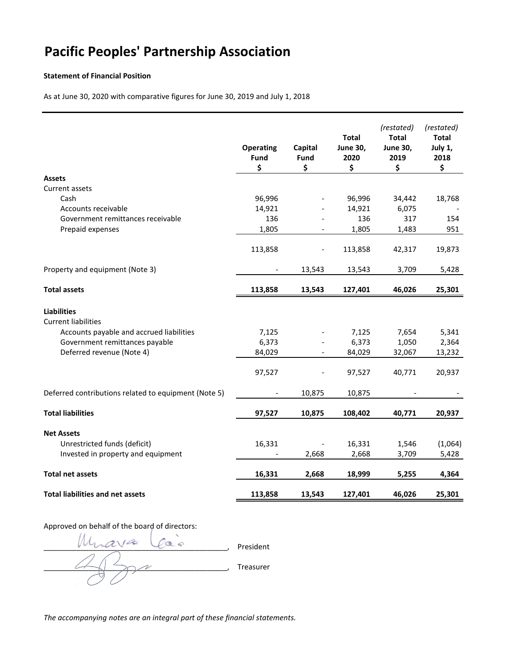#### **Statement of Financial Position**

As at June 30, 2020 with comparative figures for June 30, 2019 and July 1, 2018

|                                                                                                                                                             | <b>Operating</b><br>Fund<br>\$ | Capital<br>Fund<br>\$ | <b>Total</b><br><b>June 30,</b><br>2020<br>\$ | (restated)<br><b>Total</b><br><b>June 30,</b><br>2019<br>\$ | (restated)<br><b>Total</b><br>July 1,<br>2018<br>\$ |
|-------------------------------------------------------------------------------------------------------------------------------------------------------------|--------------------------------|-----------------------|-----------------------------------------------|-------------------------------------------------------------|-----------------------------------------------------|
| <b>Assets</b>                                                                                                                                               |                                |                       |                                               |                                                             |                                                     |
| Current assets                                                                                                                                              |                                |                       |                                               |                                                             |                                                     |
| Cash                                                                                                                                                        | 96,996                         |                       | 96,996                                        | 34,442                                                      | 18,768                                              |
| Accounts receivable                                                                                                                                         | 14,921                         |                       | 14,921                                        | 6,075                                                       |                                                     |
| Government remittances receivable                                                                                                                           | 136                            |                       | 136                                           | 317                                                         | 154                                                 |
| Prepaid expenses                                                                                                                                            | 1,805                          |                       | 1,805                                         | 1,483                                                       | 951                                                 |
|                                                                                                                                                             | 113,858                        |                       | 113,858                                       | 42,317                                                      | 19,873                                              |
| Property and equipment (Note 3)                                                                                                                             |                                | 13,543                | 13,543                                        | 3,709                                                       | 5,428                                               |
|                                                                                                                                                             |                                |                       |                                               |                                                             |                                                     |
| <b>Total assets</b>                                                                                                                                         | 113,858                        | 13,543                | 127,401                                       | 46,026                                                      | 25,301                                              |
| <b>Liabilities</b><br><b>Current liabilities</b><br>Accounts payable and accrued liabilities<br>Government remittances payable<br>Deferred revenue (Note 4) | 7,125<br>6,373<br>84,029       |                       | 7,125<br>6,373<br>84,029                      | 7,654<br>1,050<br>32,067                                    | 5,341<br>2,364<br>13,232                            |
|                                                                                                                                                             | 97,527                         |                       | 97,527                                        | 40,771                                                      | 20,937                                              |
| Deferred contributions related to equipment (Note 5)                                                                                                        |                                | 10,875                | 10,875                                        |                                                             |                                                     |
| <b>Total liabilities</b>                                                                                                                                    | 97,527                         | 10,875                | 108,402                                       | 40,771                                                      | 20,937                                              |
| <b>Net Assets</b>                                                                                                                                           |                                |                       |                                               |                                                             |                                                     |
| Unrestricted funds (deficit)                                                                                                                                | 16,331                         |                       | 16,331                                        | 1,546                                                       | (1,064)                                             |
| Invested in property and equipment                                                                                                                          |                                | 2,668                 | 2,668                                         | 3,709                                                       | 5,428                                               |
| <b>Total net assets</b>                                                                                                                                     | 16,331                         | 2,668                 | 18,999                                        | 5,255                                                       | 4,364                                               |
| <b>Total liabilities and net assets</b>                                                                                                                     | 113,858                        | 13,543                | 127,401                                       | 46,026                                                      | 25,301                                              |
|                                                                                                                                                             |                                |                       |                                               |                                                             |                                                     |

## Approved on behalf of the board of directors:

Muava Laign president  $\overline{\mathscr{N}}$  Treasurer

*The accompanying notes are an integral part of these financial statements.*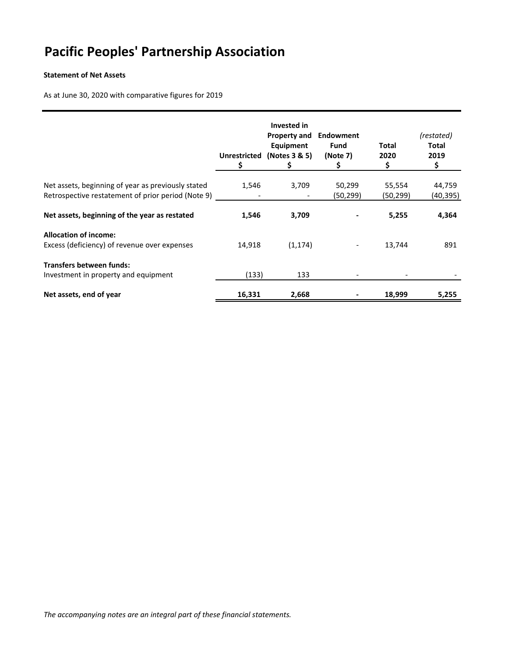## **Statement of Net Assets**

As at June 30, 2020 with comparative figures for 2019

|                                                                                                          | <b>Unrestricted</b><br>\$. | <b>Invested in</b><br><b>Property and</b><br><b>Equipment</b><br>(Notes 3 & 5)<br>Ş. | Endowment<br><b>Fund</b><br>(Note 7)<br>Ş | Total<br>2020<br>\$ | (restated)<br><b>Total</b><br>2019<br>\$ |
|----------------------------------------------------------------------------------------------------------|----------------------------|--------------------------------------------------------------------------------------|-------------------------------------------|---------------------|------------------------------------------|
| Net assets, beginning of year as previously stated<br>Retrospective restatement of prior period (Note 9) | 1,546                      | 3,709<br>$\overline{\phantom{a}}$                                                    | 50,299<br>(50,299)                        | 55,554<br>(50, 299) | 44,759<br>(40,395)                       |
| Net assets, beginning of the year as restated                                                            | 1,546                      | 3,709                                                                                |                                           | 5,255               | 4,364                                    |
| <b>Allocation of income:</b><br>Excess (deficiency) of revenue over expenses                             | 14,918                     | (1, 174)                                                                             |                                           | 13,744              | 891                                      |
| <b>Transfers between funds:</b><br>Investment in property and equipment                                  | (133)                      | 133                                                                                  |                                           |                     |                                          |
| Net assets, end of year                                                                                  | 16,331                     | 2,668                                                                                |                                           | 18,999              | 5,255                                    |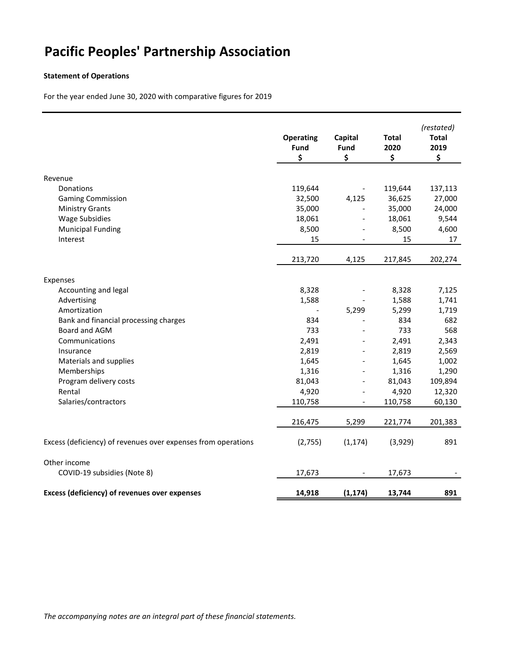## **Statement of Operations**

For the year ended June 30, 2020 with comparative figures for 2019

|                                                               | <b>Operating</b><br>Fund<br>\$ | Capital<br>Fund<br>\$        | <b>Total</b><br>2020<br>\$ | (restated)<br><b>Total</b><br>2019<br>\$ |
|---------------------------------------------------------------|--------------------------------|------------------------------|----------------------------|------------------------------------------|
|                                                               |                                |                              |                            |                                          |
| Revenue<br>Donations                                          | 119,644                        | $\overline{\phantom{a}}$     | 119,644                    | 137,113                                  |
| <b>Gaming Commission</b>                                      | 32,500                         | 4,125                        | 36,625                     | 27,000                                   |
| <b>Ministry Grants</b>                                        | 35,000                         | $\frac{1}{2}$                | 35,000                     | 24,000                                   |
| <b>Wage Subsidies</b>                                         | 18,061                         | $\overline{\phantom{a}}$     | 18,061                     | 9,544                                    |
| <b>Municipal Funding</b>                                      | 8,500                          | $\overline{a}$               | 8,500                      | 4,600                                    |
| Interest                                                      | 15                             | $\overline{\phantom{a}}$     | 15                         | 17                                       |
|                                                               |                                |                              |                            |                                          |
|                                                               | 213,720                        | 4,125                        | 217,845                    | 202,274                                  |
| Expenses                                                      |                                |                              |                            |                                          |
| Accounting and legal                                          | 8,328                          | $\qquad \qquad \blacksquare$ | 8,328                      | 7,125                                    |
| Advertising                                                   | 1,588                          | $\qquad \qquad \blacksquare$ | 1,588                      | 1,741                                    |
| Amortization                                                  |                                | 5,299                        | 5,299                      | 1,719                                    |
| Bank and financial processing charges                         | 834                            | $\overline{a}$               | 834                        | 682                                      |
| Board and AGM                                                 | 733                            | $\overline{a}$               | 733                        | 568                                      |
| Communications                                                | 2,491                          | $\overline{a}$               | 2,491                      | 2,343                                    |
| Insurance                                                     | 2,819                          | $\overline{a}$               | 2,819                      | 2,569                                    |
| Materials and supplies                                        | 1,645                          | $\overline{a}$               | 1,645                      | 1,002                                    |
| Memberships                                                   | 1,316                          | $\overline{\phantom{0}}$     | 1,316                      | 1,290                                    |
| Program delivery costs                                        | 81,043                         | $\overline{\phantom{0}}$     | 81,043                     | 109,894                                  |
| Rental                                                        | 4,920                          | $\overline{\phantom{a}}$     | 4,920                      | 12,320                                   |
| Salaries/contractors                                          | 110,758                        | $\overline{\phantom{a}}$     | 110,758                    | 60,130                                   |
|                                                               | 216,475                        | 5,299                        | 221,774                    | 201,383                                  |
| Excess (deficiency) of revenues over expenses from operations | (2,755)                        | (1, 174)                     | (3,929)                    | 891                                      |
| Other income                                                  |                                |                              |                            |                                          |
| COVID-19 subsidies (Note 8)                                   | 17,673                         |                              | 17,673                     |                                          |
| <b>Excess (deficiency) of revenues over expenses</b>          | 14,918                         | (1, 174)                     | 13,744                     | 891                                      |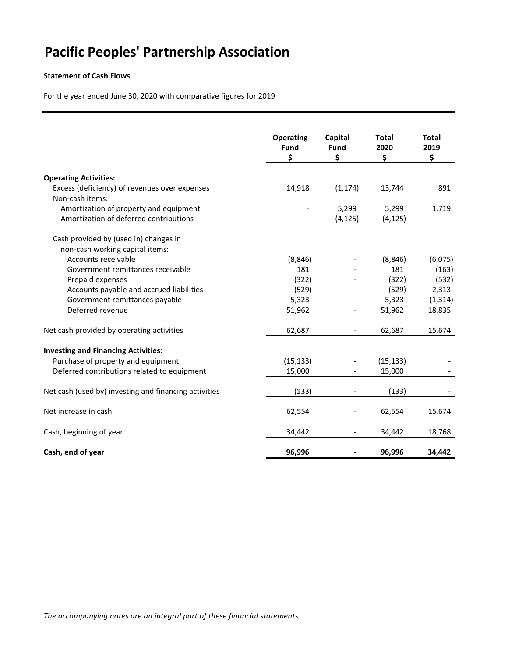### **Statement of Cash Flows**

For the year ended June 30, 2020 with comparative figures for 2019

|                                                       | <b>Operating</b><br>Fund | Capital<br>Fund          | <b>Total</b><br>2020 | <b>Total</b><br>2019 |
|-------------------------------------------------------|--------------------------|--------------------------|----------------------|----------------------|
|                                                       | \$                       | \$                       | \$                   | \$                   |
| <b>Operating Activities:</b>                          |                          |                          |                      |                      |
| Excess (deficiency) of revenues over expenses         | 14,918                   | (1, 174)                 | 13,744               | 891                  |
| Non-cash items:                                       |                          |                          |                      |                      |
|                                                       |                          |                          |                      |                      |
| Amortization of property and equipment                |                          | 5,299                    | 5,299                | 1,719                |
| Amortization of deferred contributions                |                          | (4, 125)                 | (4, 125)             |                      |
| Cash provided by (used in) changes in                 |                          |                          |                      |                      |
| non-cash working capital items:                       |                          |                          |                      |                      |
| Accounts receivable                                   | (8, 846)                 |                          | (8, 846)             | (6,075)              |
| Government remittances receivable                     | 181                      |                          | 181                  | (163)                |
| Prepaid expenses                                      | (322)                    |                          | (322)                | (532)                |
| Accounts payable and accrued liabilities              | (529)                    |                          | (529)                | 2,313                |
| Government remittances payable                        | 5,323                    |                          | 5,323                | (1, 314)             |
| Deferred revenue                                      | 51,962                   |                          | 51,962               | 18,835               |
| Net cash provided by operating activities             | 62,687                   | $\overline{\phantom{a}}$ | 62,687               | 15,674               |
|                                                       |                          |                          |                      |                      |
| <b>Investing and Financing Activities:</b>            |                          |                          |                      |                      |
| Purchase of property and equipment                    | (15, 133)                |                          | (15, 133)            |                      |
| Deferred contributions related to equipment           | 15,000                   |                          | 15,000               |                      |
| Net cash (used by) investing and financing activities | (133)                    |                          | (133)                |                      |
| Net increase in cash                                  | 62,554                   |                          | 62,554               | 15,674               |
| Cash, beginning of year                               | 34,442                   |                          | 34,442               | 18,768               |
| Cash, end of year                                     | 96,996                   |                          | 96,996               | 34,442               |

*The accompanying notes are an integral part of these financial statements.*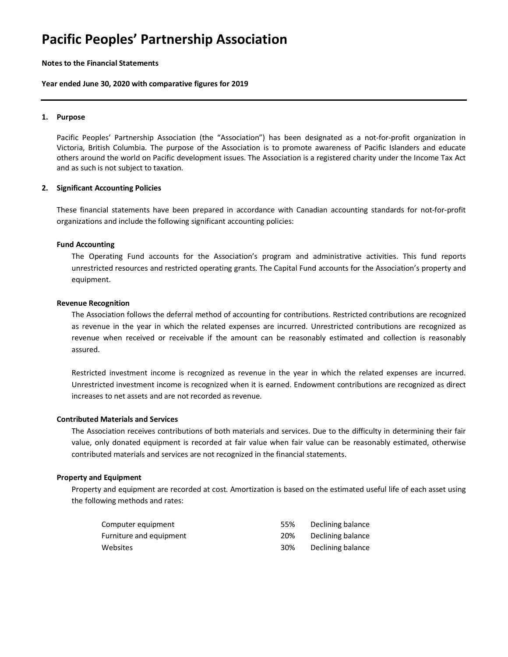#### **Notes to the Financial Statements**

#### **Year ended June 30, 2020 with comparative figures for 2019**

#### **1. Purpose**

Pacific Peoples' Partnership Association (the "Association") has been designated as a not-for-profit organization in Victoria, British Columbia. The purpose of the Association is to promote awareness of Pacific Islanders and educate others around the world on Pacific development issues. The Association is a registered charity under the Income Tax Act and as such is not subject to taxation.

#### **2. Significant Accounting Policies**

These financial statements have been prepared in accordance with Canadian accounting standards for not-for-profit organizations and include the following significant accounting policies:

#### **Fund Accounting**

The Operating Fund accounts for the Association's program and administrative activities. This fund reports unrestricted resources and restricted operating grants. The Capital Fund accounts for the Association's property and equipment.

#### **Revenue Recognition**

The Association follows the deferral method of accounting for contributions. Restricted contributions are recognized as revenue in the year in which the related expenses are incurred. Unrestricted contributions are recognized as revenue when received or receivable if the amount can be reasonably estimated and collection is reasonably assured.

Restricted investment income is recognized as revenue in the year in which the related expenses are incurred. Unrestricted investment income is recognized when it is earned. Endowment contributions are recognized as direct increases to net assets and are not recorded as revenue.

#### **Contributed Materials and Services**

The Association receives contributions of both materials and services. Due to the difficulty in determining their fair value, only donated equipment is recorded at fair value when fair value can be reasonably estimated, otherwise contributed materials and services are not recognized in the financial statements.

#### **Property and Equipment**

Property and equipment are recorded at cost. Amortization is based on the estimated useful life of each asset using the following methods and rates:

| Computer equipment      | 55% | Declining balance |
|-------------------------|-----|-------------------|
| Furniture and equipment | 20% | Declining balance |
| Websites                | 30% | Declining balance |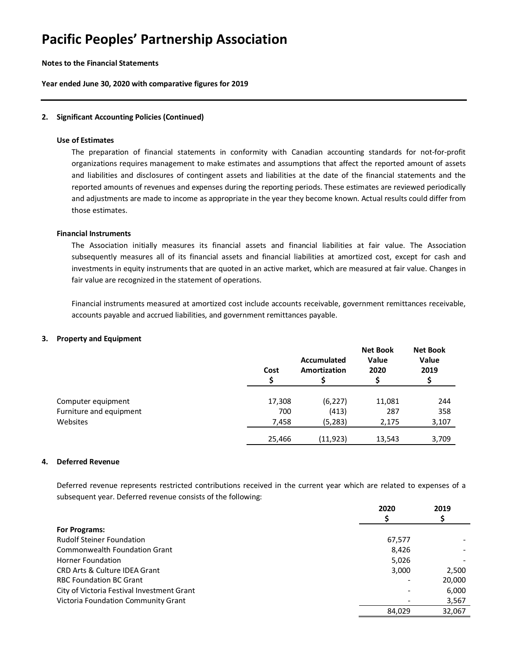#### **Notes to the Financial Statements**

**Year ended June 30, 2020 with comparative figures for 2019**

#### **2. Significant Accounting Policies (Continued)**

#### **Use of Estimates**

The preparation of financial statements in conformity with Canadian accounting standards for not-for-profit organizations requires management to make estimates and assumptions that affect the reported amount of assets and liabilities and disclosures of contingent assets and liabilities at the date of the financial statements and the reported amounts of revenues and expenses during the reporting periods. These estimates are reviewed periodically and adjustments are made to income as appropriate in the year they become known. Actual results could differ from those estimates.

#### **Financial Instruments**

The Association initially measures its financial assets and financial liabilities at fair value. The Association subsequently measures all of its financial assets and financial liabilities at amortized cost, except for cash and investments in equity instruments that are quoted in an active market, which are measured at fair value. Changes in fair value are recognized in the statement of operations.

Financial instruments measured at amortized cost include accounts receivable, government remittances receivable, accounts payable and accrued liabilities, and government remittances payable.

#### **3. Property and Equipment**

|                         | Cost   | Accumulated<br>Amortization | <b>Net Book</b><br><b>Value</b><br>2020 | <b>Net Book</b><br><b>Value</b><br>2019 |
|-------------------------|--------|-----------------------------|-----------------------------------------|-----------------------------------------|
|                         |        |                             |                                         |                                         |
| Computer equipment      | 17,308 | (6, 227)                    | 11,081                                  | 244                                     |
| Furniture and equipment | 700    | (413)                       | 287                                     | 358                                     |
| Websites                | 7,458  | (5,283)                     | 2.175                                   | 3,107                                   |
|                         | 25,466 | (11, 923)                   | 13,543                                  | 3,709                                   |

#### **4. Deferred Revenue**

Deferred revenue represents restricted contributions received in the current year which are related to expenses of a subsequent year. Deferred revenue consists of the following:

|                                            | 2020   | 2019   |
|--------------------------------------------|--------|--------|
|                                            |        |        |
| <b>For Programs:</b>                       |        |        |
| <b>Rudolf Steiner Foundation</b>           | 67,577 |        |
| <b>Commonwealth Foundation Grant</b>       | 8,426  |        |
| Horner Foundation                          | 5,026  |        |
| CRD Arts & Culture IDEA Grant              | 3,000  | 2,500  |
| <b>RBC Foundation BC Grant</b>             |        | 20,000 |
| City of Victoria Festival Investment Grant |        | 6,000  |
| Victoria Foundation Community Grant        |        | 3,567  |
|                                            | 84.029 | 32,067 |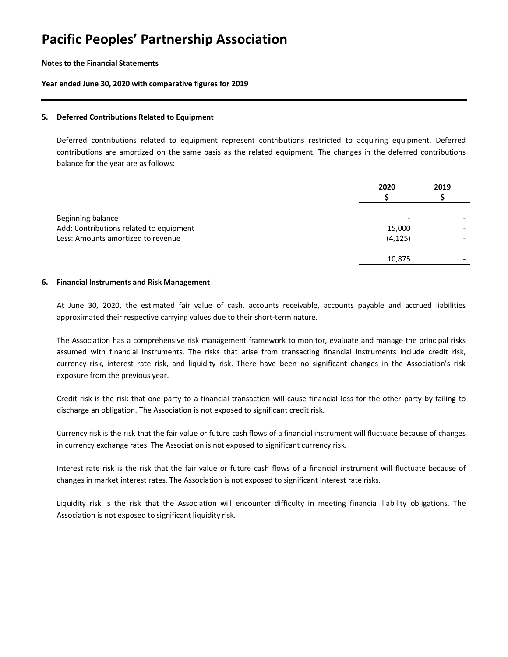#### **Notes to the Financial Statements**

#### **Year ended June 30, 2020 with comparative figures for 2019**

#### **5. Deferred Contributions Related to Equipment**

Deferred contributions related to equipment represent contributions restricted to acquiring equipment. Deferred contributions are amortized on the same basis as the related equipment. The changes in the deferred contributions balance for the year are as follows:

|                                         | 2020     | 2019 |
|-----------------------------------------|----------|------|
| Beginning balance                       |          |      |
| Add: Contributions related to equipment | 15,000   |      |
| Less: Amounts amortized to revenue      | (4, 125) |      |
|                                         | 10,875   |      |

#### **6. Financial Instruments and Risk Management**

At June 30, 2020, the estimated fair value of cash, accounts receivable, accounts payable and accrued liabilities approximated their respective carrying values due to their short-term nature.

The Association has a comprehensive risk management framework to monitor, evaluate and manage the principal risks assumed with financial instruments. The risks that arise from transacting financial instruments include credit risk, currency risk, interest rate risk, and liquidity risk. There have been no significant changes in the Association's risk exposure from the previous year.

Credit risk is the risk that one party to a financial transaction will cause financial loss for the other party by failing to discharge an obligation. The Association is not exposed to significant credit risk.

Currency risk is the risk that the fair value or future cash flows of a financial instrument will fluctuate because of changes in currency exchange rates. The Association is not exposed to significant currency risk.

Interest rate risk is the risk that the fair value or future cash flows of a financial instrument will fluctuate because of changes in market interest rates. The Association is not exposed to significant interest rate risks.

Liquidity risk is the risk that the Association will encounter difficulty in meeting financial liability obligations. The Association is not exposed to significant liquidity risk.